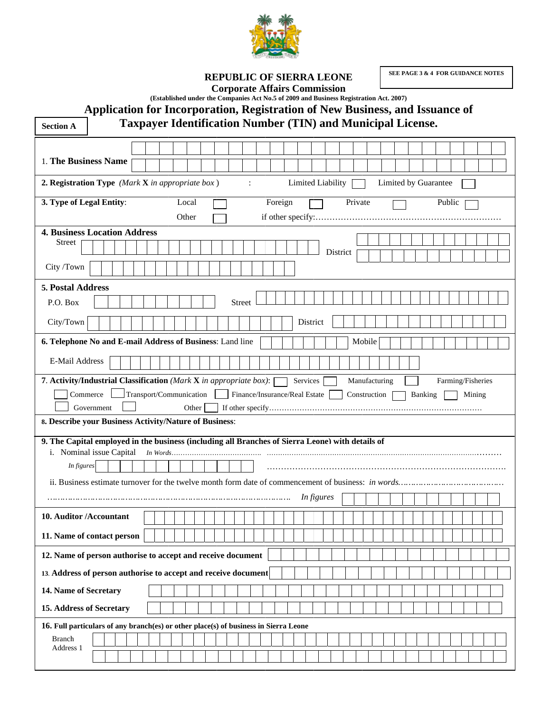

REPUBLIC OF SIERRA LEONE

SEE PAGE 3 & 4 FOR GUIDANCE NOTES

**Corporate Affairs Commission** 

(Established under the Companies Act No.5 of 2009 and Business Registration Act. 2007)

Application for Incorporation, Registration of New Business, and Issuance of

**Taxpayer Identification Number (TIN) and Municipal License.** 

| <b>Section A</b>                                                                                 |                          |  | <b>Taxpayer Identification Number (TIN) and Municipal License.</b> |              |                               |         |  |                   |          |         |               |                      |  |         |        |                   |  |
|--------------------------------------------------------------------------------------------------|--------------------------|--|--------------------------------------------------------------------|--------------|-------------------------------|---------|--|-------------------|----------|---------|---------------|----------------------|--|---------|--------|-------------------|--|
|                                                                                                  |                          |  |                                                                    |              |                               |         |  |                   |          |         |               |                      |  |         |        |                   |  |
| 1. The Business Name                                                                             |                          |  |                                                                    |              |                               |         |  |                   |          |         |               |                      |  |         |        |                   |  |
| 2. Registration Type (Mark X in appropriate box)                                                 |                          |  |                                                                    |              | $\ddot{\cdot}$                |         |  | Limited Liability |          |         |               | Limited by Guarantee |  |         |        |                   |  |
| 3. Type of Legal Entity:                                                                         |                          |  | Local                                                              |              |                               | Foreign |  |                   |          | Private |               |                      |  |         | Public |                   |  |
|                                                                                                  |                          |  | Other                                                              |              |                               |         |  |                   |          |         |               |                      |  |         |        |                   |  |
| <b>4. Business Location Address</b>                                                              |                          |  |                                                                    |              |                               |         |  |                   |          |         |               |                      |  |         |        |                   |  |
| <b>Street</b>                                                                                    |                          |  |                                                                    |              |                               |         |  |                   | District |         |               |                      |  |         |        |                   |  |
| City /Town                                                                                       |                          |  |                                                                    |              |                               |         |  |                   |          |         |               |                      |  |         |        |                   |  |
| 5. Postal Address                                                                                |                          |  |                                                                    |              |                               |         |  |                   |          |         |               |                      |  |         |        |                   |  |
| P.O. Box                                                                                         |                          |  |                                                                    |              | <b>Street</b>                 |         |  |                   |          |         |               |                      |  |         |        |                   |  |
| City/Town                                                                                        |                          |  |                                                                    |              |                               |         |  | District          |          |         |               |                      |  |         |        |                   |  |
| 6. Telephone No and E-mail Address of Business: Land line                                        |                          |  |                                                                    |              |                               |         |  |                   |          |         | Mobile        |                      |  |         |        |                   |  |
| E-Mail Address                                                                                   |                          |  |                                                                    |              |                               |         |  |                   |          |         |               |                      |  |         |        |                   |  |
| 7. Activity/Industrial Classification (Mark X in appropriate box): [                             |                          |  |                                                                    |              |                               |         |  | Services          |          |         | Manufacturing |                      |  |         |        | Farming/Fisheries |  |
| Commerce                                                                                         |                          |  | Transport/Communication                                            | $\mathbf{1}$ | Finance/Insurance/Real Estate |         |  |                   |          |         | Construction  |                      |  | Banking |        | Mining            |  |
|                                                                                                  | Government               |  | Other                                                              |              |                               |         |  |                   |          |         |               |                      |  |         |        |                   |  |
| 8. Describe your Business Activity/Nature of Business:                                           |                          |  |                                                                    |              |                               |         |  |                   |          |         |               |                      |  |         |        |                   |  |
| 9. The Capital employed in the business (including all Branches of Sierra Leone) with details of |                          |  |                                                                    |              |                               |         |  |                   |          |         |               |                      |  |         |        |                   |  |
| In figures                                                                                       | i. Nominal issue Capital |  |                                                                    |              |                               |         |  |                   |          |         |               |                      |  |         |        |                   |  |
|                                                                                                  |                          |  |                                                                    |              |                               |         |  |                   |          |         |               |                      |  |         |        |                   |  |
|                                                                                                  |                          |  |                                                                    |              |                               |         |  |                   |          |         |               |                      |  |         |        |                   |  |
|                                                                                                  |                          |  |                                                                    |              |                               |         |  | In figures        |          |         |               |                      |  |         |        |                   |  |
| 10. Auditor / Accountant                                                                         |                          |  |                                                                    |              |                               |         |  |                   |          |         |               |                      |  |         |        |                   |  |
| 11. Name of contact person                                                                       |                          |  |                                                                    |              |                               |         |  |                   |          |         |               |                      |  |         |        |                   |  |
| 12. Name of person authorise to accept and receive document                                      |                          |  |                                                                    |              |                               |         |  |                   |          |         |               |                      |  |         |        |                   |  |
| 13. Address of person authorise to accept and receive document                                   |                          |  |                                                                    |              |                               |         |  |                   |          |         |               |                      |  |         |        |                   |  |
| 14. Name of Secretary                                                                            |                          |  |                                                                    |              |                               |         |  |                   |          |         |               |                      |  |         |        |                   |  |
| 15. Address of Secretary                                                                         |                          |  |                                                                    |              |                               |         |  |                   |          |         |               |                      |  |         |        |                   |  |
| 16. Full particulars of any branch(es) or other place(s) of business in Sierra Leone             |                          |  |                                                                    |              |                               |         |  |                   |          |         |               |                      |  |         |        |                   |  |
| <b>Branch</b>                                                                                    |                          |  |                                                                    |              |                               |         |  |                   |          |         |               |                      |  |         |        |                   |  |
| Address 1                                                                                        |                          |  |                                                                    |              |                               |         |  |                   |          |         |               |                      |  |         |        |                   |  |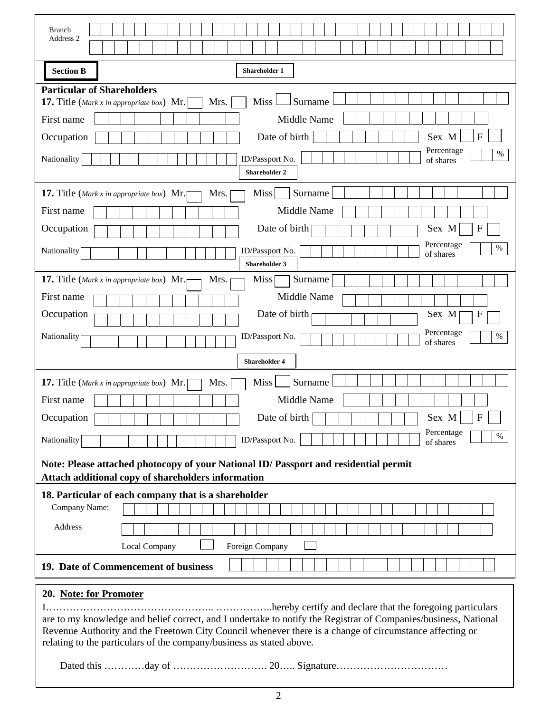| <b>Branch</b><br>Address 2                                                                                                                                                                                                                                                                                                                                                                  |
|---------------------------------------------------------------------------------------------------------------------------------------------------------------------------------------------------------------------------------------------------------------------------------------------------------------------------------------------------------------------------------------------|
|                                                                                                                                                                                                                                                                                                                                                                                             |
| <b>Section B</b><br><b>Shareholder 1</b>                                                                                                                                                                                                                                                                                                                                                    |
| <b>Particular of Shareholders</b><br>Surname<br><b>Miss</b><br>Mrs.<br><b>17.</b> Title (Mark x in appropriate box) Mr.<br>Middle Name<br>First name<br>Date of birth<br>Sex M<br>F<br>Occupation<br>Percentage<br>$\%$<br>Nationality<br>ID/Passport No.<br>of shares<br><b>Shareholder 2</b>                                                                                              |
| Surname<br><b>Miss</b><br>Mrs.<br><b>17.</b> Title (Mark x in appropriate box) Mr.                                                                                                                                                                                                                                                                                                          |
| Middle Name<br>First name<br>Date of birth<br>$\mathbf{F}$<br>Occupation<br>Sex M<br>Percentage<br>%<br>ID/Passport No.<br>Nationality<br>of shares<br><b>Shareholder 3</b>                                                                                                                                                                                                                 |
| <b>17.</b> Title (Mark x in appropriate box) Mr.<br>Mrs.<br><b>Miss</b><br>Surname<br>Middle Name<br>First name<br>Date of birth<br>Occupation<br>Sex M<br>F<br>Percentage<br>ID/Passport No.<br>Nationality<br>%<br>of shares                                                                                                                                                              |
| <b>Shareholder 4</b>                                                                                                                                                                                                                                                                                                                                                                        |
| Surname<br><b>Miss</b><br>Mrs.<br><b>17.</b> Title (Mark x in appropriate box) Mr.<br>Middle Name<br>First name<br>$\vert$ F<br>Sex $M$<br>Date of birth<br>Occupation  <br>Percentage<br>$\%$<br>ID/Passport No.<br>Nationality<br>of shares<br>Note: Please attached photocopy of your National ID/ Passport and residential permit<br>Attach additional copy of shareholders information |
| 18. Particular of each company that is a shareholder                                                                                                                                                                                                                                                                                                                                        |
| Company Name:<br>Address<br>Foreign Company<br>Local Company                                                                                                                                                                                                                                                                                                                                |
| 19. Date of Commencement of business                                                                                                                                                                                                                                                                                                                                                        |
| 20. Note: for Promoter<br>are to my knowledge and belief correct, and I undertake to notify the Registrar of Companies/business, National<br>Revenue Authority and the Freetown City Council whenever there is a change of circumstance affecting or<br>relating to the particulars of the company/business as stated above.                                                                |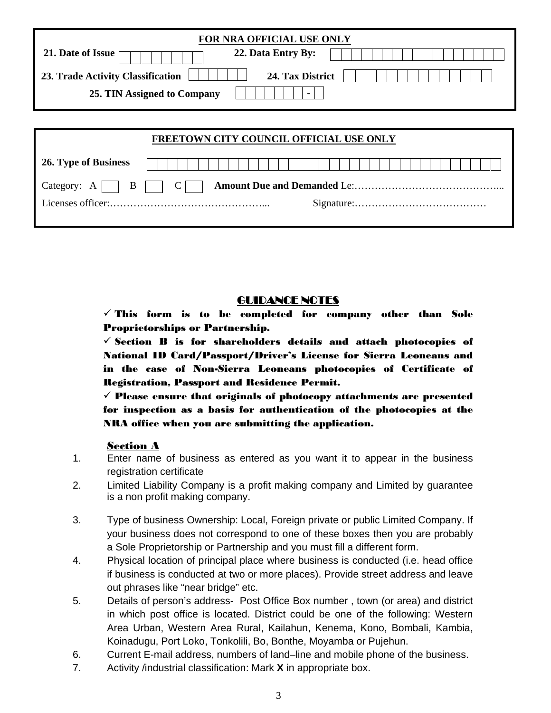| FOR NRA OFFICIAL USE ONLY                             |  |  |  |  |  |  |  |
|-------------------------------------------------------|--|--|--|--|--|--|--|
| 21. Date of Issue<br>22. Data Entry By:               |  |  |  |  |  |  |  |
| 24. Tax District<br>23. Trade Activity Classification |  |  |  |  |  |  |  |
| 25. TIN Assigned to Company<br>$\bullet$              |  |  |  |  |  |  |  |
|                                                       |  |  |  |  |  |  |  |
|                                                       |  |  |  |  |  |  |  |
| FREETOWN CITY COUNCIL OFFICIAL USE ONLY               |  |  |  |  |  |  |  |
|                                                       |  |  |  |  |  |  |  |
| 26. Type of Business                                  |  |  |  |  |  |  |  |
| B<br>Category:<br>A                                   |  |  |  |  |  |  |  |
|                                                       |  |  |  |  |  |  |  |

## GUIDANCE NOTES

 $\checkmark$  This form is to be completed for company other than Sole Proprietorships or Partnership.

 $\checkmark$  Section B is for shareholders details and attach photocopies of National ID Card/Passport/Driver's License for Sierra Leoneans and in the case of Non-Sierra Leoneans photocopies of Certificate of Registration, Passport and Residence Permit.

 $\checkmark$  Please ensure that originals of photocopy attachments are presented for inspection as a basis for authentication of the photocopies at the NRA office when you are submitting the application.

## Section A

- 1. Enter name of business as entered as you want it to appear in the business registration certificate
- 2. Limited Liability Company is a profit making company and Limited by guarantee is a non profit making company.
- 3. Type of business Ownership: Local, Foreign private or public Limited Company. If your business does not correspond to one of these boxes then you are probably a Sole Proprietorship or Partnership and you must fill a different form.
- 4. Physical location of principal place where business is conducted (i.e. head office if business is conducted at two or more places). Provide street address and leave out phrases like "near bridge" etc.
- 5. Details of person's address- Post Office Box number , town (or area) and district in which post office is located. District could be one of the following: Western Area Urban, Western Area Rural, Kailahun, Kenema, Kono, Bombali, Kambia, Koinadugu, Port Loko, Tonkolili, Bo, Bonthe, Moyamba or Pujehun.
- 6. Current E-mail address, numbers of land–line and mobile phone of the business.
- 7. Activity /industrial classification: Mark **X** in appropriate box.